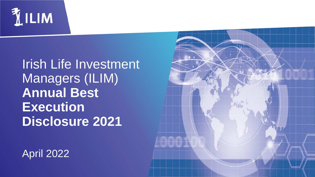

# Irish Life Investment Managers (ILIM) **Annual Best Execution Disclosure 2021**

April 2022

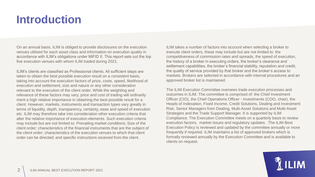## **Introduction**

On an annual basis, ILIM is obliged to provide disclosures on the execution venues utilised for each asset class and information on execution quality in accordance with ILIM's obligations under MiFID II. This report sets out the top five execution venues with whom ILIM traded during 2021.

ILIM's clients are classified as Professional clients. All sufficient steps are taken to obtain the best possible execution result on a consistent basis, taking into account the execution factors of price, costs, speed, likelihood of execution and settlement, size and nature or any other consideration relevant to the execution of the client order. While the weighting and relevance of these factors may vary, price and cost of trading will ordinarily merit a high relative importance in obtaining the best possible result for a client. However, markets, instruments and transaction types vary greatly in terms of liquidity, depth, transparency, certainty, ease and speed of execution etc. ILIM may therefore take into consideration other execution criteria that alter the relative importance of execution elements. Such execution criteria may include but are not limited to: Prevailing market conditions; Size of the client order; characteristics of the financial instruments that are the subject of the client order; characteristics of the execution venues to which that client order can be directed; and specific instructions received from the client.

ILIM takes a number of factors into account when selecting a broker to execute client orders, these may include but are not limited to: the competitiveness of commission rates and spreads, the speed of execution, the history of a broker in executing orders, the broker's clearance and settlement capabilities, the broker's financial stability, reputation and credit, the quality of service provided by that broker and the broker's access to markets. Brokers are selected in accordance with internal procedures and an approved broker list is maintained.

The ILIM Execution Committee oversees trade execution processes and outcomes in ILIM. The committee is comprised of: the Chief Investment Officer (CIO), the Chief Operations Officer - Investments (COO, chair), the Heads of Indexation, Fixed Income, Credit Solutions, Dealing and Investment Risk, Senior Managers from Dealing, Multi-Asset Solutions and Multi-Asset Strategies and the Trade Support Manager. It is supported by ILIM Compliance. The Execution Committee meets on a quarterly basis to review execution factors, market issues and regulatory updates. The ILIM Best Execution Policy is reviewed and updated by the committee annually or more frequently if required. ILIM maintains a list of approved brokers which is formally reviewed annually by the Execution Committee and is available to clients on request.

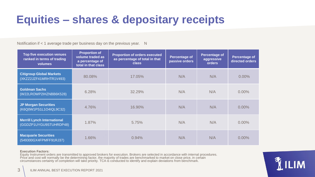## **Equities – shares & depositary receipts**

Notification if < 1 average trade per business day on the previous year. N

| <b>Top five execution venues</b><br>ranked in terms of trading<br>volumes | <b>Proportion of</b><br>volume traded as<br>a percentage of<br>total in that class | <b>Proportion of orders executed</b><br>as percentage of total in that<br><b>class</b> | <b>Percentage of</b><br>passive orders | Percentage of<br>aggressive<br>orders | Percentage of<br>directed orders |
|---------------------------------------------------------------------------|------------------------------------------------------------------------------------|----------------------------------------------------------------------------------------|----------------------------------------|---------------------------------------|----------------------------------|
| <b>Citigroup Global Markets</b><br>(XKZZ2JZF41MRHTR1V493)                 | 80.08%                                                                             | 17.05%                                                                                 | N/A                                    | N/A                                   | $0.00\%$                         |
| <b>Goldman Sachs</b><br>(W22LROWP2IHZNBB6K528)                            | 6.28%                                                                              | 32.29%                                                                                 | N/A                                    | N/A                                   | $0.00\%$                         |
| <b>JP Morgan Securities</b><br>(K6Q0W1PS1L1O4IQL9C32)                     | 4.76%                                                                              | 16.90%                                                                                 | N/A                                    | N/A                                   | $0.00\%$                         |
| <b>Merrill Lynch International</b><br>(GGDZP1UYGU9STUHRDP48)              | 1.87%                                                                              | 5.75%                                                                                  | N/A                                    | N/A                                   | $0.00\%$                         |
| <b>Macquarie Securities</b><br>(549300GX4FPMFF91RJ37)                     | 1.66%                                                                              | 0.94%                                                                                  | N/A                                    | N/A                                   | 0.00%                            |

#### **Execution Factors:**

Equity Instrument orders are transmitted to approved brokers for execution. Brokers are selected in accordance with internal procedures. Price and cost will normally be the determining factor, the majority of trades are benchmarked to market on close price, in certain circumstances certainty of completion will take priority. TCA is conducted to identify and explain deviations from benchmark.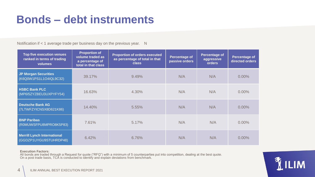### **Bonds – debt instruments**

Notification if < 1 average trade per business day on the previous year. N

| <b>Top five execution venues</b><br>ranked in terms of trading<br>volumes | <b>Proportion of</b><br>volume traded as<br>a percentage of<br>total in that class | <b>Proportion of orders executed</b><br>as percentage of total in that<br><b>class</b> | <b>Percentage of</b><br>passive orders | <b>Percentage of</b><br>aggressive<br>orders | Percentage of<br>directed orders |
|---------------------------------------------------------------------------|------------------------------------------------------------------------------------|----------------------------------------------------------------------------------------|----------------------------------------|----------------------------------------------|----------------------------------|
| <b>JP Morgan Securities</b><br>(K6Q0W1PS1L1O4IQL9C32)                     | 39.17%                                                                             | 9.49%                                                                                  | N/A                                    | N/A                                          | $0.00\%$                         |
| <b>HSBC Bank PLC</b><br>(MP6I5ZYZBEU3UXPYFY54)                            | 16.63%                                                                             | 4.30%                                                                                  | N/A                                    | N/A                                          | $0.00\%$                         |
| <b>Deutsche Bank AG</b><br>(7LTWFZYICNSX8D621K86)                         | 14.40%                                                                             | 5.55%                                                                                  | N/A                                    | N/A                                          | $0.00\%$                         |
| <b>BNP Paribas</b><br>(R0MUWSFPU8MPRO8K5P83)                              | 7.61%                                                                              | 5.17%                                                                                  | N/A                                    | N/A                                          | $0.00\%$                         |
| <b>Merrill Lynch International</b><br>(GGDZP1UYGU9STUHRDP48)              | 6.42%                                                                              | 6.76%                                                                                  | N/A                                    | N/A                                          | $0.00\%$                         |

#### **Execution Factors:**

All bonds are traded through a Request for quote ("RFQ") with a minimum of 5 counterparties put into competition, dealing at the best quote. On a post trade basis, TCA is conducted to identify and explain deviations from benchmark.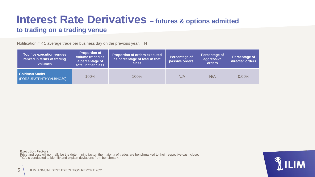# **Interest Rate Derivatives – futures & options admitted**

#### **to trading on a trading venue**

Notification if < 1 average trade per business day on the previous year. N

| <b>Top five execution venues</b><br>ranked in terms of trading<br>volumes | <b>Proportion of</b><br>volume traded as<br>a percentage of<br>total in that class | <b>Proportion of orders executed</b><br>as percentage of total in that<br><b>class</b> | <b>Percentage of</b><br>passive orders | Percentage of<br>aggressive<br>orders | <b>Percentage of</b><br>directed orders |
|---------------------------------------------------------------------------|------------------------------------------------------------------------------------|----------------------------------------------------------------------------------------|----------------------------------------|---------------------------------------|-----------------------------------------|
| Goldman Sachs<br>(FOR8UP27PHTHYVLBNG30)                                   | 100%                                                                               | 100%                                                                                   | N/A                                    | N/A                                   | $0.00\%$                                |

**Execution Factors:**

Price and cost will normally be the determining factor, the majority of trades are benchmarked to their respective cash close. TCA is conducted to identify and explain deviations from benchmark.

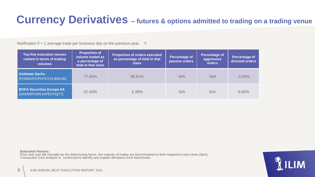### **Currency Derivatives – futures & options admitted to trading on a trading venue**

Notification if < 1 average trade per business day on the previous year. Y

| <b>Top five execution venues</b><br>ranked in terms of trading<br>volumes | <b>Proportion of</b><br>volume traded as<br>a percentage of<br>total in that class | <b>Proportion of orders executed</b><br>as percentage of total in that<br><b>class</b> | <b>Percentage of</b><br>passive orders | <b>Percentage of</b><br>aggressive<br>orders | Percentage of<br>directed orders |
|---------------------------------------------------------------------------|------------------------------------------------------------------------------------|----------------------------------------------------------------------------------------|----------------------------------------|----------------------------------------------|----------------------------------|
| <b>Goldman Sachs</b><br>(FOR8UP27PHTHYVLBNG30)                            | 77.60%                                                                             | 96.61%                                                                                 | N/A                                    | N/A                                          | $0.00\%$                         |
| <b>BOFA Securities Europe SA</b><br>(549300FH0WJAPEHTIQ77)                | 22.40%                                                                             | 3.39%                                                                                  | N/A                                    | N/A                                          | $0.00\%$                         |

**Execution Factors:**

Price and cost will normally be the determining factor, the majority of trades are benchmarked to their respective cash close (4pm). Transaction Cost Analysis is conducted to identify and explain deviations from benchmark.

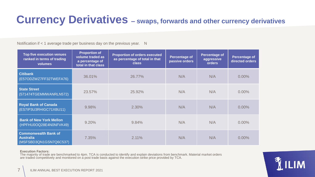### **Currency Derivatives – swaps, forwards and other currency derivatives**

Notification if < 1 average trade per business day on the previous year. N

| <b>Top five execution venues</b><br>ranked in terms of trading<br>volumes | <b>Proportion of</b><br>volume traded as<br>a percentage of<br>total in that class | <b>Proportion of orders executed</b><br>as percentage of total in that<br><b>class</b> | <b>Percentage of</b><br>passive orders | <b>Percentage of</b><br>aggressive<br>orders | <b>Percentage of</b><br>directed orders |
|---------------------------------------------------------------------------|------------------------------------------------------------------------------------|----------------------------------------------------------------------------------------|----------------------------------------|----------------------------------------------|-----------------------------------------|
| <b>Citibank</b><br>(E57ODZWZ7FF32TWEFA76)                                 | 36.01%                                                                             | 26.77%                                                                                 | N/A                                    | N/A                                          | $0.00\%$                                |
| <b>State Street</b><br>(571474TGEMMWANRLN572)                             | 23.57%                                                                             | 25.92%                                                                                 | N/A                                    | N/A                                          | $0.00\%$                                |
| <b>Royal Bank of Canada</b><br>(ES7IP3U3RHIGC71XBU11)                     | 9.98%                                                                              | 2.30%                                                                                  | N/A                                    | N/A                                          | $0.00\%$                                |
| <b>Bank of New York Mellon</b><br>(HPFHU0OQ28E4N0NFVK49)                  | 9.20%                                                                              | 9.84%                                                                                  | N/A                                    | N/A                                          | $0.00\%$                                |
| <b>Commonwealth Bank of</b><br><b>Australia</b><br>(MSFSBD3QN1GSN7Q6C537) | 7.35%                                                                              | 2.11%                                                                                  | N/A                                    | N/A                                          | $0.00\%$                                |

#### **Execution Factors:**

The majority of trade are benchmarked to 4pm. TCA is conducted to identify and explain deviations from benchmark. Material market orders are traded competitively and monitored on a post trade basis against the execution strike price provided by TCA.

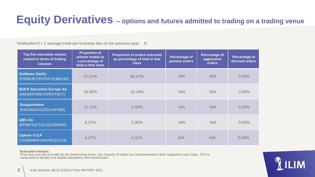### **Equity Derivatives – options and futures admitted to trading on a trading venue**

Notification if < 1 average trade per business day on the previous year. N

| <b>Top five execution venues</b><br>ranked in terms of trading<br>volumes | <b>Proportion of</b><br>volume traded as<br>a percentage of<br>total in that class | <b>Proportion of orders executed</b><br>as percentage of total in that<br><b>class</b> | Percentage of<br>passive orders | <b>Percentage of</b><br>aggressive<br>orders | <b>Percentage of</b><br>directed orders |
|---------------------------------------------------------------------------|------------------------------------------------------------------------------------|----------------------------------------------------------------------------------------|---------------------------------|----------------------------------------------|-----------------------------------------|
| <b>Goldman Sachs</b><br>(FOR8UP27PHTHYVLBNG30)                            | 37.67%                                                                             | 86.57%                                                                                 | N/A                             | N/A                                          | $0.00\%$                                |
| <b>BOFA Securities Europe SA</b><br>(549300FH0WJAPEHTIQ77)                | 33.93%                                                                             | 10.19%                                                                                 | N/A                             | N/A                                          | $0.00\%$                                |
| <b>Susquehanna</b><br>(635400IAV22ZOU1NFS89)                              | 11.11%                                                                             | 0.33%                                                                                  | N/A                             | N/A                                          | $0.00\%$                                |
| <b>UBS AG</b><br>(BFM8T61CT2L1QCEMIK50)                                   | 6.17%                                                                              | 2.35%                                                                                  | N/A                             | N/A                                          | $0.00\%$                                |
| <b>Optiver V.O.F</b><br>(7245009KRYSAYB2QCC29)                            | 4.17%                                                                              | 0.11%                                                                                  | N/A                             | N/A                                          | $0.00\%$                                |

#### **Execution Factors:**

Price and cost will normally be the determining factor, the majority of trades are benchmarked to their respective cash close. TCA is conducted to identify and explain deviations from benchmark.

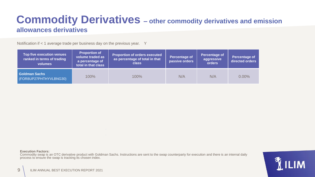#### **Commodity Derivatives – other commodity derivatives and emission allowances derivatives**

Notification if < 1 average trade per business day on the previous year. Y

| <b>Top five execution venues</b><br>ranked in terms of trading<br><b>volumes</b> | <b>Proportion of</b><br>volume traded as<br>a percentage of<br>total in that class | <b>Proportion of orders executed</b><br>as percentage of total in that<br><b>class</b> | <b>Percentage of</b><br>passive orders | <b>Percentage of</b><br>aggressive<br>orders | <b>Percentage of</b><br>directed orders |
|----------------------------------------------------------------------------------|------------------------------------------------------------------------------------|----------------------------------------------------------------------------------------|----------------------------------------|----------------------------------------------|-----------------------------------------|
| <b>Goldman Sachs</b><br>(FOR8UP27PHTHYVLBNG30)                                   | 100%                                                                               | 100%                                                                                   | N/A                                    | N/A                                          | $0.00\%$                                |

**Execution Factors:**

Commodity swap is an OTC derivative product with Goldman Sachs. Instructions are sent to the swap counterparty for execution and there is an internal daily process to ensure the swap is tracking its chosen index.

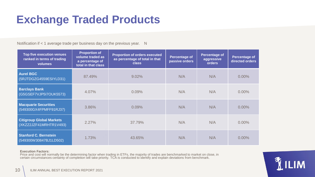## **Exchange Traded Products**

Notification if < 1 average trade per business day on the previous year. N

| <b>Top five execution venues</b><br>ranked in terms of trading<br>volumes | <b>Proportion of</b><br>volume traded as<br>a percentage of<br>total in that class | <b>Proportion of orders executed</b><br>as percentage of total in that<br><b>class</b> | <b>Percentage of</b><br>passive orders | <b>Percentage of</b><br>aggressive<br>orders | <b>Percentage of</b><br>directed orders |
|---------------------------------------------------------------------------|------------------------------------------------------------------------------------|----------------------------------------------------------------------------------------|----------------------------------------|----------------------------------------------|-----------------------------------------|
| <b>Aurel BGC</b><br>(5RJTDGZG4559ESIYLD31)                                | 87.49%                                                                             | 9.02%                                                                                  | N/A                                    | N/A                                          | $0.00\%$                                |
| <b>Barclays Bank</b><br>(G5GSEF7VJP5I7OUK5573)                            | 4.07%                                                                              | 0.09%                                                                                  | N/A                                    | N/A                                          | $0.00\%$                                |
| <b>Macquarie Securities</b><br>(549300GX4FPMFF91RJ37)                     | 3.86%                                                                              | 0.09%                                                                                  | N/A                                    | N/A                                          | $0.00\%$                                |
| <b>Citigroup Global Markets</b><br>(XKZZ2JZF41MRHTR1V493)                 | 2.27%                                                                              | 37.79%                                                                                 | N/A                                    | N/A                                          | $0.00\%$                                |
| <b>Stanford C. Bernstein</b><br>(549300W30847BJ1LD502)                    | 1.73%                                                                              | 43.65%                                                                                 | N/A                                    | N/A                                          | 0.00%                                   |

#### **Execution Factors:**

Price and cost will normally be the determining factor when trading in ETFs, the majority of trades are benchmarked to market on close, in certain circumstances certainty of completion will take priority. TCA is conducted to identify and explain deviations from benchmark.